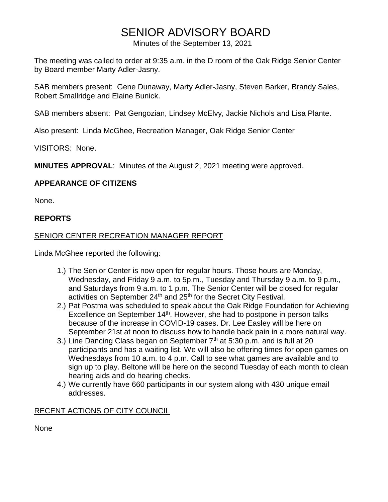# SENIOR ADVISORY BOARD

Minutes of the September 13, 2021

The meeting was called to order at 9:35 a.m. in the D room of the Oak Ridge Senior Center by Board member Marty Adler-Jasny.

SAB members present: Gene Dunaway, Marty Adler-Jasny, Steven Barker, Brandy Sales, Robert Smallridge and Elaine Bunick.

SAB members absent: Pat Gengozian, Lindsey McElvy, Jackie Nichols and Lisa Plante.

Also present: Linda McGhee, Recreation Manager, Oak Ridge Senior Center

VISITORS: None.

**MINUTES APPROVAL**: Minutes of the August 2, 2021 meeting were approved.

# **APPEARANCE OF CITIZENS**

None.

## **REPORTS**

## SENIOR CENTER RECREATION MANAGER REPORT

Linda McGhee reported the following:

- 1.) The Senior Center is now open for regular hours. Those hours are Monday, Wednesday, and Friday 9 a.m. to 5p.m., Tuesday and Thursday 9 a.m. to 9 p.m., and Saturdays from 9 a.m. to 1 p.m. The Senior Center will be closed for regular activities on September  $24<sup>th</sup>$  and  $25<sup>th</sup>$  for the Secret City Festival.
- 2.) Pat Postma was scheduled to speak about the Oak Ridge Foundation for Achieving Excellence on September 14<sup>th</sup>. However, she had to postpone in person talks because of the increase in COVID-19 cases. Dr. Lee Easley will be here on September 21st at noon to discuss how to handle back pain in a more natural way.
- 3.) Line Dancing Class began on September  $7<sup>th</sup>$  at 5:30 p.m. and is full at 20 participants and has a waiting list. We will also be offering times for open games on Wednesdays from 10 a.m. to 4 p.m. Call to see what games are available and to sign up to play. Beltone will be here on the second Tuesday of each month to clean hearing aids and do hearing checks.
- 4.) We currently have 660 participants in our system along with 430 unique email addresses.

## RECENT ACTIONS OF CITY COUNCIL

None